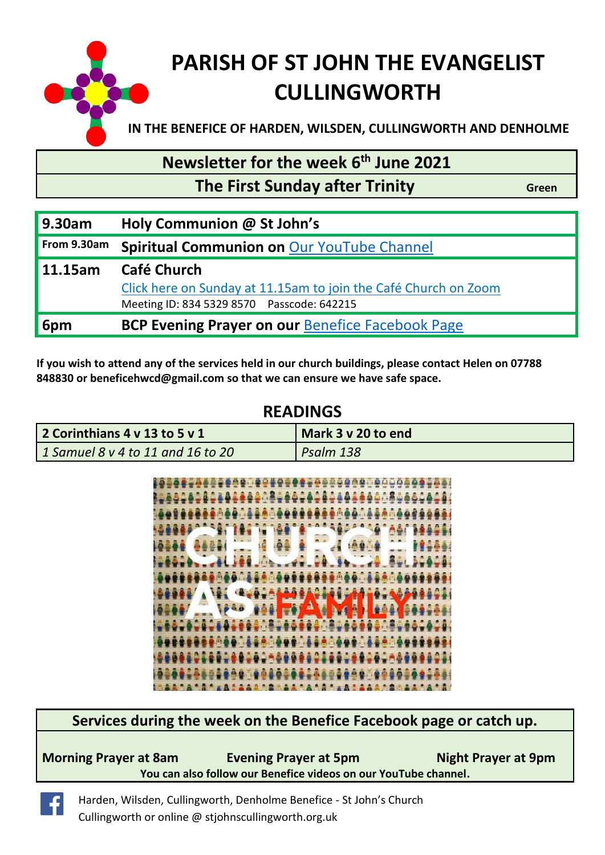

#### **Newsletter for the week 6 th June 2021**

 **The First Sunday after Trinity Constructs** Green

| 9.30am      | Holy Communion @ St John's                                                                                                   |
|-------------|------------------------------------------------------------------------------------------------------------------------------|
| From 9.30am | <b>Spiritual Communion on Our YouTube Channel</b>                                                                            |
| 11.15am     | Café Church<br>Click here on Sunday at 11.15am to join the Café Church on Zoom<br>Meeting ID: 834 5329 8570 Passcode: 642215 |
| 6pm         | <b>BCP Evening Prayer on our Benefice Facebook Page</b>                                                                      |

**If you wish to attend any of the services held in our church buildings, please contact Helen on 07788 848830 or [beneficehwcd@gmail.com](mailto:beneficehwcd@gmail.com) so that we can ensure we have safe space.**

#### **READINGS**

| 2 Corinthians 4 v 13 to 5 v 1     | Mark 3 v 20 to end |
|-----------------------------------|--------------------|
| 1 Samuel 8 v 4 to 11 and 16 to 20 | Psalm 138          |



**Services during the week on the Benefice Facebook page or catch up.**

| <b>Morning Prayer at 8am</b>                                    | <b>Evening Prayer at 5pm</b> | <b>Night Prayer at 9pm</b> |  |  |  |
|-----------------------------------------------------------------|------------------------------|----------------------------|--|--|--|
| You can also follow our Benefice videos on our YouTube channel. |                              |                            |  |  |  |

Harden, Wilsden, Cullingworth, Denholme Benefice - St John's Church  $\left| \cdot \right|$ Cullingworth or online @ stjohnscullingworth.org.uk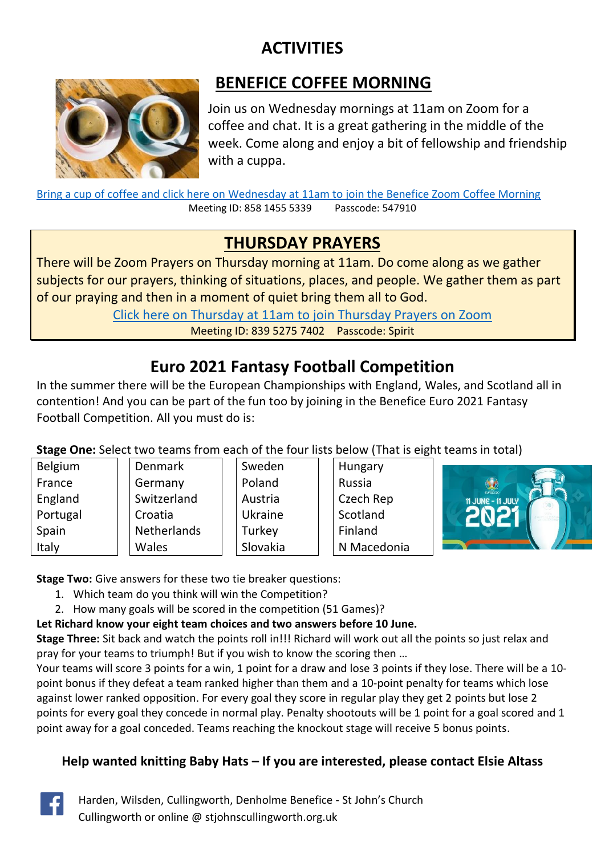# **ACTIVITIES**



#### **BENEFICE COFFEE MORNING**

Join us on Wednesday mornings at 11am on Zoom for a coffee and chat. It is a great gathering in the middle of the week. Come along and enjoy a bit of fellowship and friendship with a cuppa.

[Bring a cup of coffee and click here on Wednesday at 11am to join the Benefice Zoom Coffee Morning](https://us02web.zoom.us/j/85814555339?pwd=T2tVcDBuNGxUUDVoSXVUa25IOGJvdz09) Meeting ID: 858 1455 5339 Passcode: 547910

#### **THURSDAY PRAYERS**

There will be Zoom Prayers on Thursday morning at 11am. Do come along as we gather subjects for our prayers, thinking of situations, places, and people. We gather them as part of our praying and then in a moment of quiet bring them all to God.

> [Click here on Thursday at 11am to join Thursday Prayers on Zoom](https://us02web.zoom.us/j/83952757402?pwd=eEYrRGFkL3g1dzJLeUcvSDJueTlZdz09) Meeting ID: 839 5275 7402 Passcode: Spirit

# **Euro 2021 Fantasy Football Competition**

In the summer there will be the European Championships with England, Wales, and Scotland all in contention! And you can be part of the fun too by joining in the Benefice Euro 2021 Fantasy Football Competition. All you must do is:

**Stage One:** Select two teams from each of the four lists below (That is eight teams in total)

| Belgium  | <b>Denmark</b> | Sweden         | Hungary     |                   |
|----------|----------------|----------------|-------------|-------------------|
| France   | Germany        | Poland         | Russia      | $\bigcirc$        |
| England  | Switzerland    | Austria        | Czech Rep   | 11 JUNE - 11 JULY |
| Portugal | Croatia        | <b>Ukraine</b> | Scotland    |                   |
| Spain    | Netherlands    | Turkey         | Finland     |                   |
| Italy    | Wales          | Slovakia       | N Macedonia |                   |

**Stage Two:** Give answers for these two tie breaker questions:

- 1. Which team do you think will win the Competition?
- 2. How many goals will be scored in the competition (51 Games)?
- **Let Richard know your eight team choices and two answers before 10 June.**

**Stage Three:** Sit back and watch the points roll in!!! Richard will work out all the points so just relax and pray for your teams to triumph! But if you wish to know the scoring then …

Your teams will score 3 points for a win, 1 point for a draw and lose 3 points if they lose. There will be a 10 point bonus if they defeat a team ranked higher than them and a 10-point penalty for teams which lose against lower ranked opposition. For every goal they score in regular play they get 2 points but lose 2 points for every goal they concede in normal play. Penalty shootouts will be 1 point for a goal scored and 1 point away for a goal conceded. Teams reaching the knockout stage will receive 5 bonus points.

#### **Help wanted knitting Baby Hats – If you are interested, please contact Elsie Altass**

Harden, Wilsden, Cullingworth, Denholme Benefice - St John's Church Cullingworth or online @ stjohnscullingworth.org.uk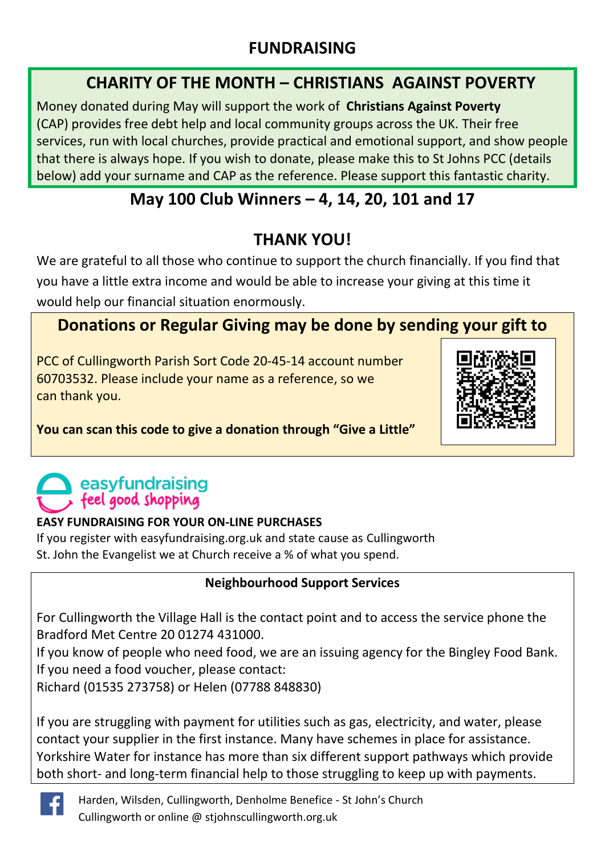#### **FUNDRAISING**

#### **CHARITY OF THE MONTH – CHRISTIANS AGAINST POVERTY**

Money donated during May will support the work of **Christians Against Poverty** (CAP) provides free debt help and local community groups across the UK. Their free services, run with local churches, provide practical and emotional support, and show people that there is always hope. If you wish to donate, please make this to St Johns PCC (details below) add your surname and CAP as the reference. Please support this fantastic charity.

## **May 100 Club Winners – 4, 14, 20, 101 and 17**

# **THANK YOU!**

We are grateful to all those who continue to support the church financially. If you find that you have a little extra income and would be able to increase your giving at this time it would help our financial situation enormously.

## **Donations or Regular Giving may be done by sending your gift to**

PCC of Cullingworth Parish Sort Code 20-45-14 account number 60703532. Please include your name as a reference, so we can thank you.



**You can scan this code to give a donation through "Give a Little"**

# easyfundraising feel good shopping

#### **EASY FUNDRAISING FOR YOUR ON-LINE PURCHASES**

If you register with easyfundraising.org.uk and state cause as Cullingworth St. John the Evangelist we at Church receive a % of what you spend.

#### **Neighbourhood Support Services**

For Cullingworth the Village Hall is the contact point and to access the service phone the Bradford Met Centre 20 01274 431000.

If you know of people who need food, we are an issuing agency for the Bingley Food Bank. If you need a food voucher, please contact:

Richard (01535 273758) or Helen (07788 848830)

If you are struggling with payment for utilities such as gas, electricity, and water, please contact your supplier in the first instance. Many have schemes in place for assistance. Yorkshire Water for instance has more than six different support pathways which provide both short- and long-term financial help to those struggling to keep up with payments.



Harden, Wilsden, Cullingworth, Denholme Benefice - St John's Church Cullingworth or online @ stjohnscullingworth.org.uk